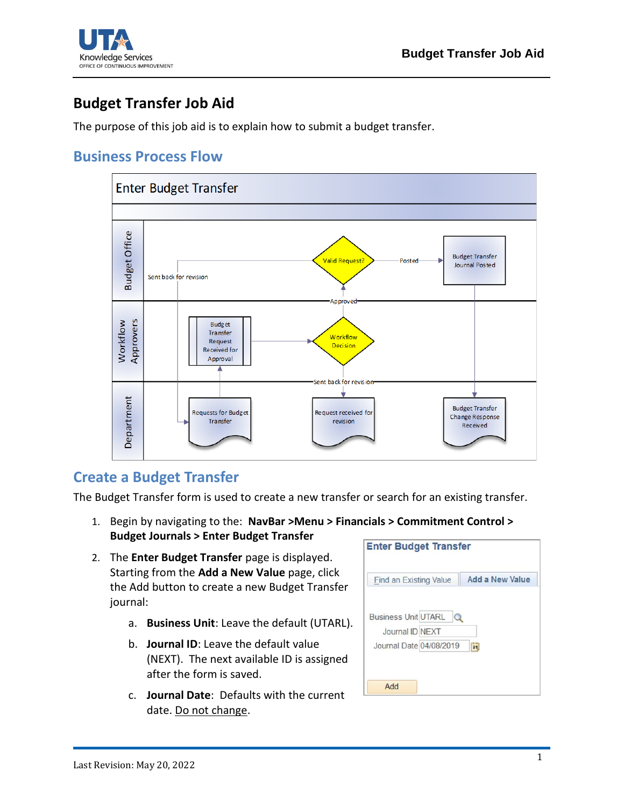

## **Budget Transfer Job Aid**

The purpose of this job aid is to explain how to submit a budget transfer.

## **Business Process Flow**



## **Create a Budget Transfer**

The Budget Transfer form is used to create a new transfer or search for an existing transfer.

- 1. Begin by navigating to the: **NavBar >Menu > Financials > Commitment Control > Budget Journals > Enter Budget Transfer**
- 2. The **Enter Budget Transfer** page is displayed. Starting from the **Add a New Value** page, click the Add button to create a new Budget Transfer journal:
	- a. **Business Unit**: Leave the default (UTARL).
	- b. **Journal ID**: Leave the default value (NEXT). The next available ID is assigned after the form is saved.
	- c. **Journal Date**: Defaults with the current date. Do not change.

| <b>Find an Existing Value</b> | <b>Add a New Value</b> |
|-------------------------------|------------------------|
| <b>Business Unit UTARL</b>    |                        |
| Journal ID NEXT               |                        |
| Journal Date 04/08/2019       | $\overline{31}$        |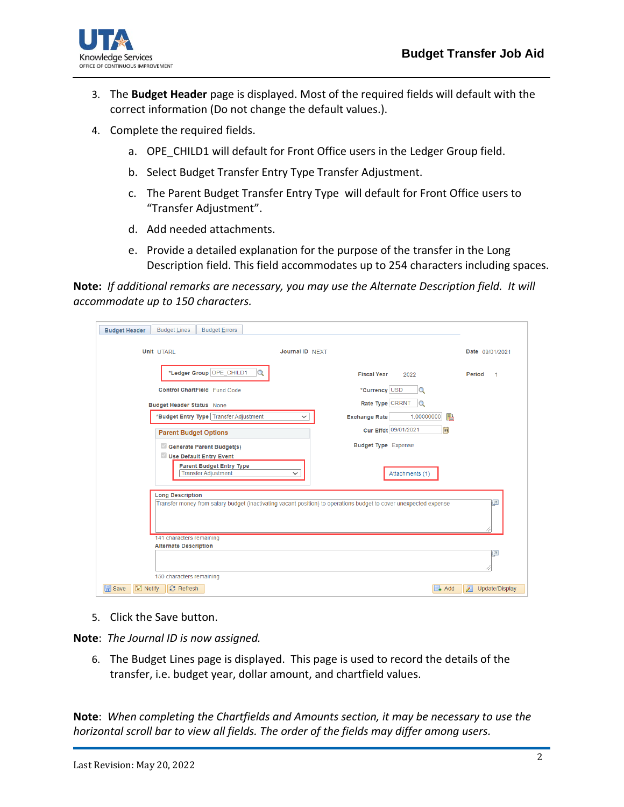

- 3. The **Budget Header** page is displayed. Most of the required fields will default with the correct information (Do not change the default values.).
- 4. Complete the required fields.
	- a. OPE CHILD1 will default for Front Office users in the Ledger Group field.
	- b. Select Budget Transfer Entry Type Transfer Adjustment.
	- c. The Parent Budget Transfer Entry Type will default for Front Office users to "Transfer Adjustment".
	- d. Add needed attachments.
	- e. Provide a detailed explanation for the purpose of the transfer in the Long Description field. This field accommodates up to 254 characters including spaces.

**Note:** *If additional remarks are necessary, you may use the Alternate Description field. It will accommodate up to 150 characters.*

| <b>Budget Lines</b><br><b>Budget Errors</b><br><b>Budget Header</b> |                                                                                                                   |                                |
|---------------------------------------------------------------------|-------------------------------------------------------------------------------------------------------------------|--------------------------------|
| <b>Unit UTARL</b>                                                   | Journal ID NFXT                                                                                                   | Date 09/01/2021                |
| *Ledger Group OPE_CHILD1<br>$\alpha$                                | <b>Fiscal Year</b><br>2022                                                                                        | Period<br>$\blacktriangleleft$ |
| Control ChartField Fund Code                                        | *Currency USD<br>Q                                                                                                |                                |
| <b>Budget Header Status None</b>                                    | Rate Type CRRNT<br>$\Omega$                                                                                       |                                |
| *Budget Entry Type Transfer Adjustment                              | 1.00000000<br>h<br><b>Exchange Rate</b><br>v                                                                      |                                |
| <b>Parent Budget Options</b>                                        | Cur Effdt 09/01/2021<br> H                                                                                        |                                |
| Generate Parent Budget(s)<br>Use Default Entry Event                | <b>Budget Type</b> Expense                                                                                        |                                |
| <b>Parent Budget Entry Type</b><br><b>Transfer Adjustment</b>       | Attachments (1)<br>$\check{ }$                                                                                    |                                |
| <b>Long Description</b>                                             | Transfer money from salary budget (inactivating vacant position) to operations budget to cover unexpected expense | $\sqrt{2}$                     |
| 141 characters remaining<br><b>Alternate Description</b>            |                                                                                                                   |                                |
|                                                                     |                                                                                                                   | 囜                              |
| 150 characters remaining                                            |                                                                                                                   |                                |
| <b>圖</b> Save<br>$\equiv$ Notify<br>$\mathbb{C}$ Refresh            | Add<br>۰                                                                                                          | Л<br>Update/Display            |

5. Click the Save button.

**Note**: *The Journal ID is now assigned.*

6. The Budget Lines page is displayed. This page is used to record the details of the transfer, i.e. budget year, dollar amount, and chartfield values.

**Note**: *When completing the Chartfields and Amounts section, it may be necessary to use the horizontal scroll bar to view all fields. The order of the fields may differ among users.*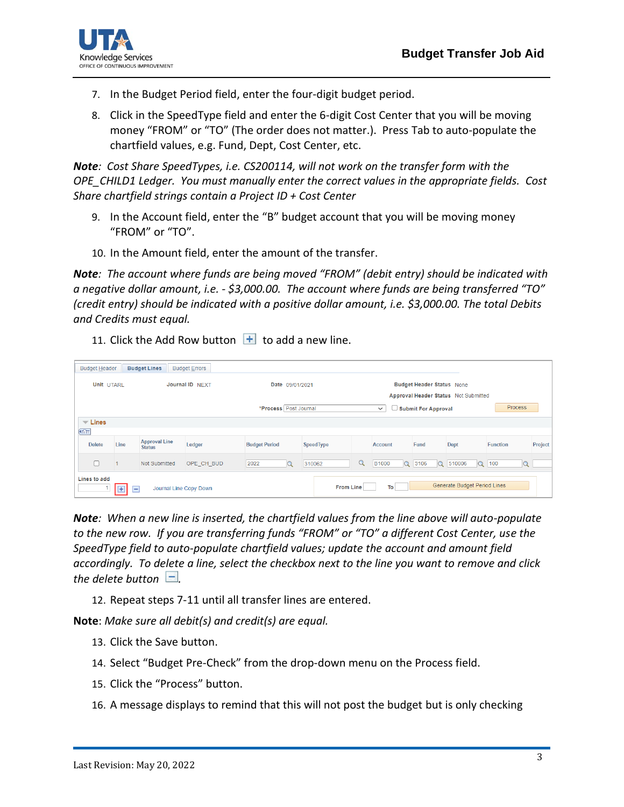

- 7. In the Budget Period field, enter the four-digit budget period.
- 8. Click in the SpeedType field and enter the 6-digit Cost Center that you will be moving money "FROM" or "TO" (The order does not matter.). Press Tab to auto-populate the chartfield values, e.g. Fund, Dept, Cost Center, etc.

*Note: Cost Share SpeedTypes, i.e. CS200114, will not work on the transfer form with the OPE\_CHILD1 Ledger. You must manually enter the correct values in the appropriate fields. Cost Share chartfield strings contain a Project ID + Cost Center*

- 9. In the Account field, enter the "B" budget account that you will be moving money "FROM" or "TO".
- 10. In the Amount field, enter the amount of the transfer.

*Note: The account where funds are being moved "FROM" (debit entry) should be indicated with a negative dollar amount, i.e. \$3,000.00. The account where funds are being transferred "TO" (credit entry) should be indicated with a positive dollar amount, i.e. \$3,000.00. The total Debits and Credits must equal.*

11. Click the Add Row button  $\mathbf{H}$  to add a new line.

| <b>Budget Header</b>                                                                                        |                | <b>Budget Lines</b>                   | <b>Budget Errors</b> |                      |                                       |           |              |                          |      |                                                                          |                    |                 |         |  |  |  |  |
|-------------------------------------------------------------------------------------------------------------|----------------|---------------------------------------|----------------------|----------------------|---------------------------------------|-----------|--------------|--------------------------|------|--------------------------------------------------------------------------|--------------------|-----------------|---------|--|--|--|--|
| Unit UTARL<br>Journal ID NEXT                                                                               |                |                                       |                      |                      | Date 09/01/2021                       |           |              |                          |      | <b>Budget Header Status None</b><br>Approval Header Status Not Submitted |                    |                 |         |  |  |  |  |
|                                                                                                             |                |                                       |                      |                      | *Process Post Journal<br>$\checkmark$ |           |              |                          |      | <b>Process</b><br>$\Box$ Submit For Approval                             |                    |                 |         |  |  |  |  |
| $\equiv$ Lines                                                                                              |                |                                       |                      |                      |                                       |           |              |                          |      |                                                                          |                    |                 |         |  |  |  |  |
| Œ                                                                                                           |                |                                       |                      |                      |                                       |           |              |                          |      |                                                                          |                    |                 |         |  |  |  |  |
| <b>Delete</b>                                                                                               | Line           | <b>Approval Line</b><br><b>Status</b> | Ledger               | <b>Budget Period</b> |                                       | SpeedType |              | <b>Account</b>           | Fund | Dept                                                                     |                    | <b>Function</b> | Project |  |  |  |  |
|                                                                                                             | $\overline{1}$ | Not Submitted                         | OPE CH BUD           | 2022                 | $\alpha$                              | 310062    | $\mathbf{q}$ | <b>B1000</b><br>$\alpha$ | 3106 | $\Omega$                                                                 | 510006<br>$\alpha$ | 100<br>$\alpha$ |         |  |  |  |  |
| Lines to add<br>Generate Budget Period Lines<br>To<br><b>From Line</b><br>$+$ $-$<br>Journal Line Copy Down |                |                                       |                      |                      |                                       |           |              |                          |      |                                                                          |                    |                 |         |  |  |  |  |

*Note: When a new line is inserted, the chartfield values from the line above will auto-populate to the new row. If you are transferring funds "FROM" or "TO" a different Cost Center, use the SpeedType field to auto-populate chartfield values; update the account and amount field accordingly. To delete a line, select the checkbox next to the line you want to remove and click the delete button*  $\Box$ .

12. Repeat steps 7-11 until all transfer lines are entered.

**Note**: *Make sure all debit(s) and credit(s) are equal.*

- 13. Click the Save button.
- 14. Select "Budget Pre-Check" from the drop-down menu on the Process field.
- 15. Click the "Process" button.
- 16. A message displays to remind that this will not post the budget but is only checking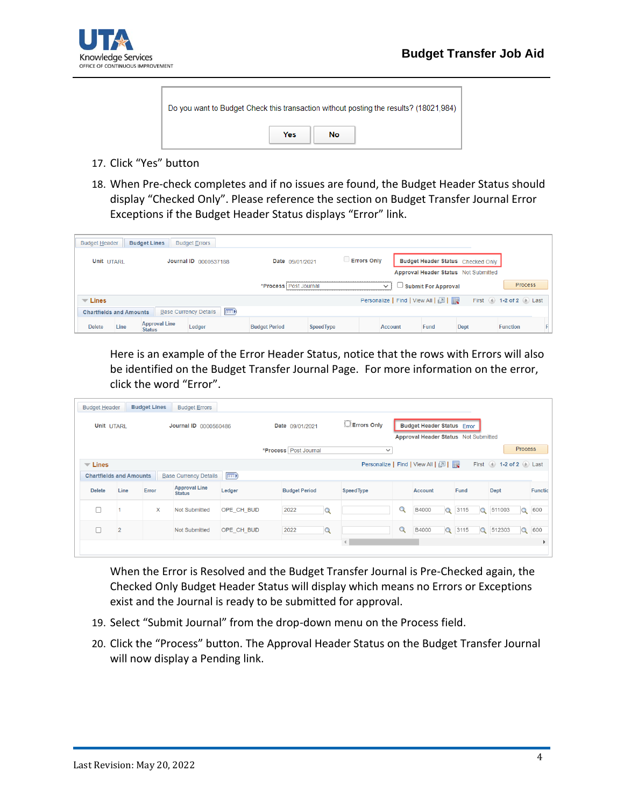

| Do you want to Budget Check this transaction without posting the results? (18021,984) |            |    |  |  |  |  |  |  |  |
|---------------------------------------------------------------------------------------|------------|----|--|--|--|--|--|--|--|
|                                                                                       | <b>Yes</b> | No |  |  |  |  |  |  |  |

- 17. Click "Yes" button
- 18. When Pre-check completes and if no issues are found, the Budget Header Status should display "Checked Only". Please reference the section on Budget Transfer Journal Error Exceptions if the Budget Header Status displays "Error" link.

| <b>Budget Header</b>           |      | <b>Budget Lines</b>                   | <b>Budget Errors</b>                        |                       |                    |  |                                   |                                      |             |                       |  |  |
|--------------------------------|------|---------------------------------------|---------------------------------------------|-----------------------|--------------------|--|-----------------------------------|--------------------------------------|-------------|-----------------------|--|--|
| Unit UTARL                     |      | Journal ID 0000537188                 | Date 09/01/2021                             |                       | <b>Errors Only</b> |  | Budget Header Status Checked Only |                                      |             |                       |  |  |
|                                |      |                                       |                                             |                       |                    |  |                                   | Approval Header Status Not Submitted |             |                       |  |  |
|                                |      |                                       |                                             | *Process Post Journal |                    |  | $\checkmark$                      | <b>Submit For Approval</b>           |             | <b>Process</b>        |  |  |
| $\overline{\phantom{a}}$ Lines |      |                                       |                                             |                       |                    |  | Personalize   Find   View All   2 |                                      |             | First 1-2 of 2 D Last |  |  |
| <b>Chartfields and Amounts</b> |      |                                       | $\boxed{m}$<br><b>Base Currency Details</b> |                       |                    |  |                                   |                                      |             |                       |  |  |
| <b>Delete</b>                  | Line | <b>Approval Line</b><br><b>Status</b> | Ledger                                      | <b>Budget Period</b>  | <b>SpeedType</b>   |  | <b>Account</b>                    | Fund                                 | <b>Dept</b> | <b>Function</b>       |  |  |

Here is an example of the Error Header Status, notice that the rows with Errors will also be identified on the Budget Transfer Journal Page. For more information on the error, click the word "Error".

| <b>Budget Header</b><br>Unit UTARL                           |                | <b>Budget Lines</b> | <b>Budget Errors</b><br>Journal ID 0000560486 |             | Date 09/01/2021         |                      | $\square$ Errors Only |          | <b>Budget Header Status Error</b>                                         |          |      |          |                         |                |                |  |
|--------------------------------------------------------------|----------------|---------------------|-----------------------------------------------|-------------|-------------------------|----------------------|-----------------------|----------|---------------------------------------------------------------------------|----------|------|----------|-------------------------|----------------|----------------|--|
|                                                              |                |                     |                                               |             | *Process   Post Journal |                      | $\checkmark$          |          | Approval Header Status Not Submitted<br>Personalize   Find   View All   2 |          |      |          | First 1 1-2 of 2 D Last | <b>Process</b> |                |  |
| $\blacktriangledown$ Lines<br><b>Chartfields and Amounts</b> |                |                     | <b>Base Currency Details</b>                  | $\boxed{1}$ |                         |                      |                       |          |                                                                           |          |      |          |                         |                |                |  |
| <b>Delete</b>                                                | Line           | Error               | <b>Approval Line</b><br><b>Status</b>         | Ledger      |                         | <b>Budget Period</b> |                       |          | <b>Account</b>                                                            |          | Fund |          | Dept                    |                | <b>Functic</b> |  |
|                                                              |                | $\mathsf{x}$        | <b>Not Submitted</b>                          | OPE CH BUD  | 2022                    | Q                    |                       | $\alpha$ | B4000                                                                     | Q        | 3115 | $\Omega$ | 511003                  | $\circ$        | 600            |  |
|                                                              | $\overline{2}$ |                     | <b>Not Submitted</b>                          | OPE CH BUD  | 2022                    | Q                    |                       | $\alpha$ | B4000                                                                     | $\alpha$ | 3115 | $\alpha$ | 512303                  | $\Omega$       | 600            |  |
|                                                              |                |                     |                                               |             |                         |                      | $\blacktriangleleft$  |          |                                                                           |          |      |          |                         |                |                |  |

When the Error is Resolved and the Budget Transfer Journal is Pre-Checked again, the Checked Only Budget Header Status will display which means no Errors or Exceptions exist and the Journal is ready to be submitted for approval.

- 19. Select "Submit Journal" from the drop-down menu on the Process field.
- 20. Click the "Process" button. The Approval Header Status on the Budget Transfer Journal will now display a Pending link.